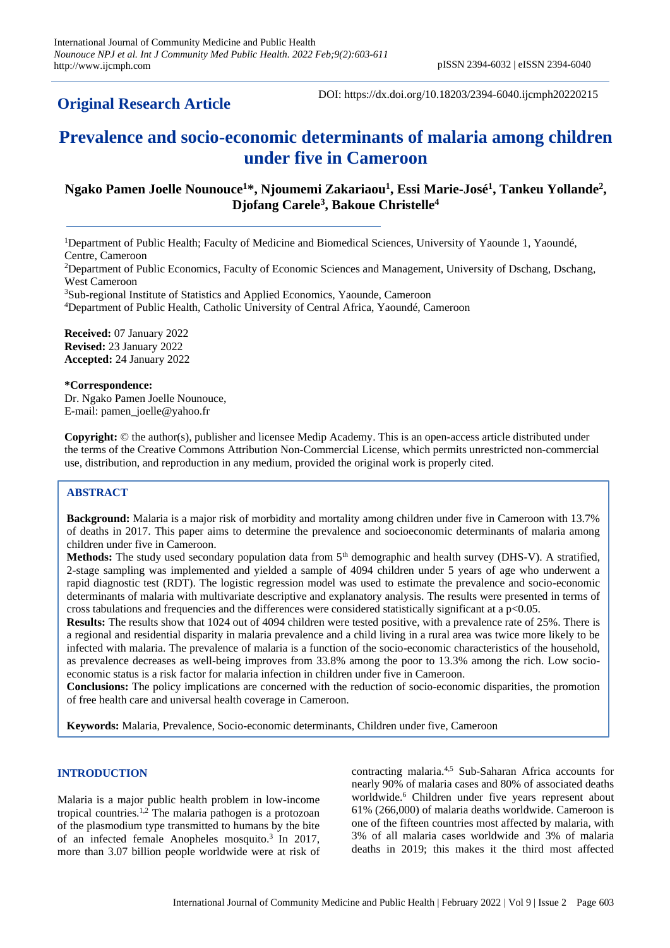## **Original Research Article**

DOI: https://dx.doi.org/10.18203/2394-6040.ijcmph20220215

# **Prevalence and socio-economic determinants of malaria among children under five in Cameroon**

## **Ngako Pamen Joelle Nounouce<sup>1</sup>\*, Njoumemi Zakariaou<sup>1</sup> , Essi Marie-José<sup>1</sup> , Tankeu Yollande<sup>2</sup> , Djofang Carele<sup>3</sup> , Bakoue Christelle<sup>4</sup>**

<sup>1</sup>Department of Public Health; Faculty of Medicine and Biomedical Sciences, University of Yaounde 1, Yaoundé, Centre, Cameroon

<sup>2</sup>Department of Public Economics, Faculty of Economic Sciences and Management, University of Dschang, Dschang, West Cameroon

<sup>3</sup>Sub-regional Institute of Statistics and Applied Economics, Yaounde, Cameroon

<sup>4</sup>Department of Public Health, Catholic University of Central Africa, Yaoundé, Cameroon

**Received:** 07 January 2022 **Revised:** 23 January 2022 **Accepted:** 24 January 2022

**\*Correspondence:** Dr. Ngako Pamen Joelle Nounouce, E-mail: pamen\_joelle@yahoo.fr

**Copyright:** © the author(s), publisher and licensee Medip Academy. This is an open-access article distributed under the terms of the Creative Commons Attribution Non-Commercial License, which permits unrestricted non-commercial use, distribution, and reproduction in any medium, provided the original work is properly cited.

## **ABSTRACT**

**Background:** Malaria is a major risk of morbidity and mortality among children under five in Cameroon with 13.7% of deaths in 2017. This paper aims to determine the prevalence and socioeconomic determinants of malaria among children under five in Cameroon.

Methods: The study used secondary population data from 5<sup>th</sup> demographic and health survey (DHS-V). A stratified, 2-stage sampling was implemented and yielded a sample of 4094 children under 5 years of age who underwent a rapid diagnostic test (RDT). The logistic regression model was used to estimate the prevalence and socio-economic determinants of malaria with multivariate descriptive and explanatory analysis. The results were presented in terms of cross tabulations and frequencies and the differences were considered statistically significant at a p<0.05.

**Results:** The results show that 1024 out of 4094 children were tested positive, with a prevalence rate of 25%. There is a regional and residential disparity in malaria prevalence and a child living in a rural area was twice more likely to be infected with malaria. The prevalence of malaria is a function of the socio-economic characteristics of the household, as prevalence decreases as well-being improves from 33.8% among the poor to 13.3% among the rich. Low socioeconomic status is a risk factor for malaria infection in children under five in Cameroon.

**Conclusions:** The policy implications are concerned with the reduction of socio-economic disparities, the promotion of free health care and universal health coverage in Cameroon.

**Keywords:** Malaria, Prevalence, Socio-economic determinants, Children under five, Cameroon

### **INTRODUCTION**

Malaria is a major public health problem in low-income tropical countries.<sup>1,2</sup> The malaria pathogen is a protozoan of the plasmodium type transmitted to humans by the bite of an infected female Anopheles mosquito.<sup>3</sup> In 2017, more than 3.07 billion people worldwide were at risk of

contracting malaria.4,5 Sub-Saharan Africa accounts for nearly 90% of malaria cases and 80% of associated deaths worldwide.<sup>6</sup> Children under five years represent about 61% (266,000) of malaria deaths worldwide. Cameroon is one of the fifteen countries most affected by malaria, with 3% of all malaria cases worldwide and 3% of malaria deaths in 2019; this makes it the third most affected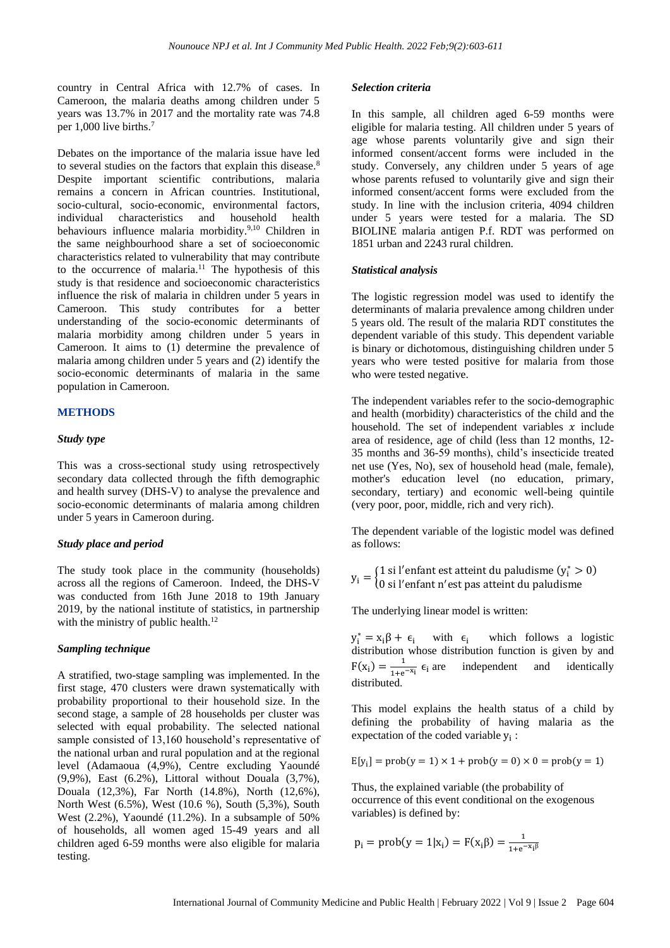country in Central Africa with 12.7% of cases. In Cameroon, the malaria deaths among children under 5 years was 13.7% in 2017 and the mortality rate was 74.8 per 1,000 live births.<sup>7</sup>

Debates on the importance of the malaria issue have led to several studies on the factors that explain this disease.<sup>8</sup> Despite important scientific contributions, malaria remains a concern in African countries. Institutional, socio-cultural, socio-economic, environmental factors, individual characteristics and household health behaviours influence malaria morbidity.9,10 Children in the same neighbourhood share a set of socioeconomic characteristics related to vulnerability that may contribute to the occurrence of malaria.<sup>11</sup> The hypothesis of this study is that residence and socioeconomic characteristics influence the risk of malaria in children under 5 years in Cameroon. This study contributes for a better understanding of the socio-economic determinants of malaria morbidity among children under 5 years in Cameroon. It aims to (1) determine the prevalence of malaria among children under 5 years and (2) identify the socio-economic determinants of malaria in the same population in Cameroon.

#### **METHODS**

#### *Study type*

This was a cross-sectional study using retrospectively secondary data collected through the fifth demographic and health survey (DHS-V) to analyse the prevalence and socio-economic determinants of malaria among children under 5 years in Cameroon during.

#### *Study place and period*

The study took place in the community (households) across all the regions of Cameroon. Indeed, the DHS-V was conducted from 16th June 2018 to 19th January 2019, by the national institute of statistics, in partnership with the ministry of public health.<sup>12</sup>

#### *Sampling technique*

A stratified, two-stage sampling was implemented. In the first stage, 470 clusters were drawn systematically with probability proportional to their household size. In the second stage, a sample of 28 households per cluster was selected with equal probability. The selected national sample consisted of 13,160 household's representative of the national urban and rural population and at the regional level (Adamaoua (4,9%), Centre excluding Yaoundé (9,9%), East (6.2%), Littoral without Douala (3,7%), Douala (12,3%), Far North (14.8%), North (12,6%), North West (6.5%), West (10.6 %), South (5,3%), South West (2.2%), Yaoundé (11.2%). In a subsample of 50% of households, all women aged 15-49 years and all children aged 6-59 months were also eligible for malaria testing.

#### *Selection criteria*

In this sample, all children aged 6-59 months were eligible for malaria testing. All children under 5 years of age whose parents voluntarily give and sign their informed consent/accent forms were included in the study. Conversely, any children under 5 years of age whose parents refused to voluntarily give and sign their informed consent/accent forms were excluded from the study. In line with the inclusion criteria, 4094 children under 5 years were tested for a malaria. The SD BIOLINE malaria antigen P.f. RDT was performed on 1851 urban and 2243 rural children.

#### *Statistical analysis*

The logistic regression model was used to identify the determinants of malaria prevalence among children under 5 years old. The result of the malaria RDT constitutes the dependent variable of this study. This dependent variable is binary or dichotomous, distinguishing children under 5 years who were tested positive for malaria from those who were tested negative.

The independent variables refer to the socio-demographic and health (morbidity) characteristics of the child and the household. The set of independent variables  $x$  include area of residence, age of child (less than 12 months, 12- 35 months and 36-59 months), child's insecticide treated net use (Yes, No), sex of household head (male, female), mother's education level (no education, primary, secondary, tertiary) and economic well-being quintile (very poor, poor, middle, rich and very rich).

The dependent variable of the logistic model was defined as follows:

 $y_i = \begin{cases} 1 \text{ si } l' \text{ enfant est atteint du paludisme } (y_i^* > 0) \\ 0 \text{ si } l' \text{onfont } p' \text{ est pas attoint du paludisme.} \end{cases}$ 0 si l ′enfant n ′est pas atteint du paludisme

The underlying linear model is written:

 $y_i^* = x_i \beta + \epsilon_i$  with  $\epsilon_i$  which follows a logistic distribution whose distribution function is given by and  $F(x_i) = \frac{1}{1 + e}$  $\frac{1}{1+e^{-x_i}}$   $\epsilon_i$  are independent and identically distributed.

This model explains the health status of a child by defining the probability of having malaria as the expectation of the coded variable  $y_i$ :

$$
E[y_i] = prob(y = 1) \times 1 + prob(y = 0) \times 0 = prob(y = 1)
$$

Thus, the explained variable (the probability of occurrence of this event conditional on the exogenous variables) is defined by:

$$
p_i = prob(y = 1 | x_i) = F(x_i \beta) = \frac{1}{1 + e^{-x_i \beta}}
$$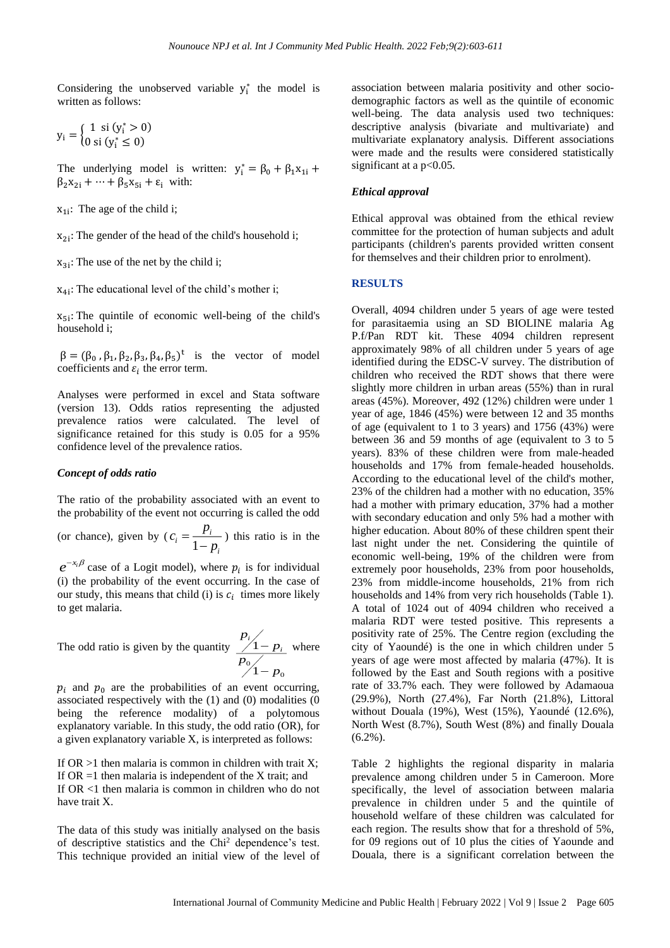Considering the unobserved variable  $y_i^*$  the model is written as follows:

$$
y_i = \begin{cases} 1 & \text{si } (y_i^* > 0) \\ 0 & \text{si } (y_i^* \le 0) \end{cases}
$$

The underlying model is written:  $y_i^* = \beta_0 + \beta_1 x_{1i} +$  $\beta_2 x_{2i} + \cdots + \beta_5 x_{5i} + \varepsilon_i$  with:

 $x_{1i}$ : The age of the child i;

 $x_{2i}$ : The gender of the head of the child's household i;

 $x_{3i}$ : The use of the net by the child i;

 $x_{4i}$ : The educational level of the child's mother i;

 $x_{5i}$ : The quintile of economic well-being of the child's household i;

 $\beta = (\beta_0, \beta_1, \beta_2, \beta_3, \beta_4, \beta_5)^t$  is the vector of model coefficients and  $\varepsilon_i$  the error term.

Analyses were performed in excel and Stata software (version 13). Odds ratios representing the adjusted prevalence ratios were calculated. The level of significance retained for this study is 0.05 for a 95% confidence level of the prevalence ratios.

#### *Concept of odds ratio*

The ratio of the probability associated with an event to the probability of the event not occurring is called the odd

(or chance), given by  $(c_i = \frac{1}{1})$  $i = \frac{P_i}{1}$ *i*  $c = \frac{p}{p}$ *p*  $=\frac{}{1-}$ ) this ratio is in the

 $e^{-x_i\beta}$  case of a Logit model), where  $p_i$  is for individual (i) the probability of the event occurring. In the case of our study, this means that child (i) is  $c_i$  times more likely to get malaria.

The odd ratio is given by the quantity 0 1 1 *i i p p p p* − − where

 $p_i$  and  $p_0$  are the probabilities of an event occurring, associated respectively with the (1) and (0) modalities (0 being the reference modality) of a polytomous explanatory variable. In this study, the odd ratio (OR), for a given explanatory variable X, is interpreted as follows:

If  $OR > 1$  then malaria is common in children with trait X; If  $OR = 1$  then malaria is independent of the X trait; and If OR <1 then malaria is common in children who do not have trait X.

The data of this study was initially analysed on the basis of descriptive statistics and the Chi<sup>2</sup> dependence's test. This technique provided an initial view of the level of association between malaria positivity and other sociodemographic factors as well as the quintile of economic well-being. The data analysis used two techniques: descriptive analysis (bivariate and multivariate) and multivariate explanatory analysis. Different associations were made and the results were considered statistically significant at a p<0.05.

#### *Ethical approval*

Ethical approval was obtained from the ethical review committee for the protection of human subjects and adult participants (children's parents provided written consent for themselves and their children prior to enrolment).

#### **RESULTS**

Overall, 4094 children under 5 years of age were tested for parasitaemia using an SD BIOLINE malaria Ag P.f/Pan RDT kit. These 4094 children represent approximately 98% of all children under 5 years of age identified during the EDSC-V survey. The distribution of children who received the RDT shows that there were slightly more children in urban areas (55%) than in rural areas (45%). Moreover, 492 (12%) children were under 1 year of age, 1846 (45%) were between 12 and 35 months of age (equivalent to 1 to 3 years) and 1756 (43%) were between 36 and 59 months of age (equivalent to 3 to 5 years). 83% of these children were from male-headed households and 17% from female-headed households. According to the educational level of the child's mother, 23% of the children had a mother with no education, 35% had a mother with primary education, 37% had a mother with secondary education and only 5% had a mother with higher education. About 80% of these children spent their last night under the net. Considering the quintile of economic well-being, 19% of the children were from extremely poor households, 23% from poor households, 23% from middle-income households, 21% from rich households and 14% from very rich households (Table 1). A total of 1024 out of 4094 children who received a malaria RDT were tested positive. This represents a positivity rate of 25%. The Centre region (excluding the city of Yaoundé) is the one in which children under 5 years of age were most affected by malaria (47%). It is followed by the East and South regions with a positive rate of 33.7% each. They were followed by Adamaoua (29.9%), North (27.4%), Far North (21.8%), Littoral without Douala (19%), West (15%), Yaoundé (12.6%), North West (8.7%), South West (8%) and finally Douala (6.2%).

Table 2 highlights the regional disparity in malaria prevalence among children under 5 in Cameroon. More specifically, the level of association between malaria prevalence in children under 5 and the quintile of household welfare of these children was calculated for each region. The results show that for a threshold of 5%, for 09 regions out of 10 plus the cities of Yaounde and Douala, there is a significant correlation between the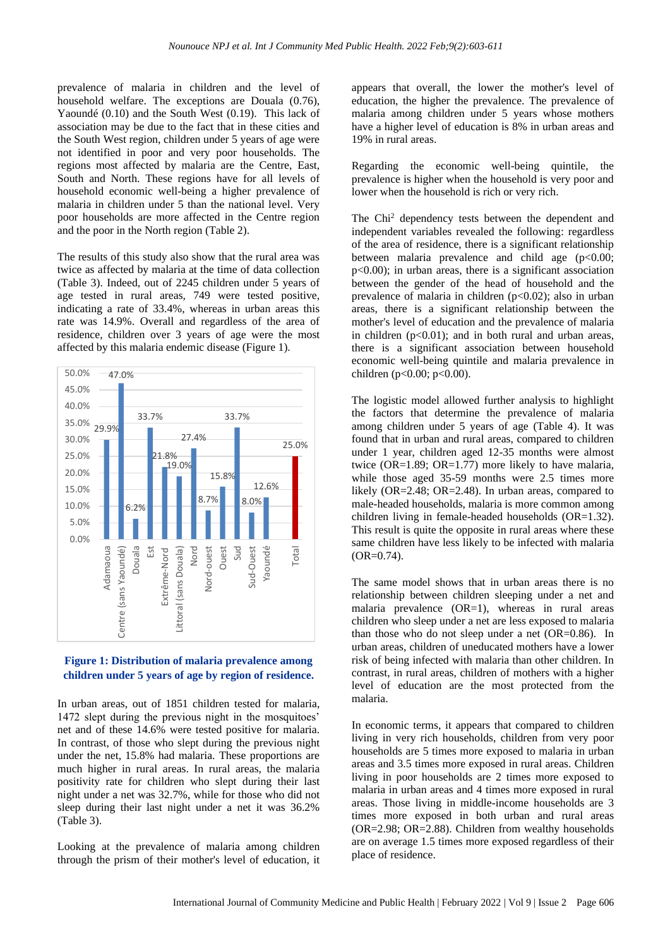prevalence of malaria in children and the level of household welfare. The exceptions are Douala (0.76), Yaoundé (0.10) and the South West (0.19). This lack of association may be due to the fact that in these cities and the South West region, children under 5 years of age were not identified in poor and very poor households. The regions most affected by malaria are the Centre, East, South and North. These regions have for all levels of household economic well-being a higher prevalence of malaria in children under 5 than the national level. Very poor households are more affected in the Centre region and the poor in the North region (Table 2).

The results of this study also show that the rural area was twice as affected by malaria at the time of data collection (Table 3). Indeed, out of 2245 children under 5 years of age tested in rural areas, 749 were tested positive, indicating a rate of 33.4%, whereas in urban areas this rate was 14.9%. Overall and regardless of the area of residence, children over 3 years of age were the most affected by this malaria endemic disease (Figure 1).



## **Figure 1: Distribution of malaria prevalence among children under 5 years of age by region of residence.**

In urban areas, out of 1851 children tested for malaria, 1472 slept during the previous night in the mosquitoes' net and of these 14.6% were tested positive for malaria. In contrast, of those who slept during the previous night under the net, 15.8% had malaria. These proportions are much higher in rural areas. In rural areas, the malaria positivity rate for children who slept during their last night under a net was 32.7%, while for those who did not sleep during their last night under a net it was 36.2% (Table 3).

Looking at the prevalence of malaria among children through the prism of their mother's level of education, it

appears that overall, the lower the mother's level of education, the higher the prevalence. The prevalence of malaria among children under 5 years whose mothers have a higher level of education is 8% in urban areas and 19% in rural areas.

Regarding the economic well-being quintile, the prevalence is higher when the household is very poor and lower when the household is rich or very rich.

The Chi<sup>2</sup> dependency tests between the dependent and independent variables revealed the following: regardless of the area of residence, there is a significant relationship between malaria prevalence and child age  $(p<0.00;$ p<0.00); in urban areas, there is a significant association between the gender of the head of household and the prevalence of malaria in children  $(p<0.02)$ ; also in urban areas, there is a significant relationship between the mother's level of education and the prevalence of malaria in children  $(p<0.01)$ ; and in both rural and urban areas, there is a significant association between household economic well-being quintile and malaria prevalence in children (p<0.00; p<0.00).

The logistic model allowed further analysis to highlight the factors that determine the prevalence of malaria among children under 5 years of age (Table 4). It was found that in urban and rural areas, compared to children under 1 year, children aged 12-35 months were almost twice  $(OR=1.89; OR=1.77)$  more likely to have malaria, while those aged 35-59 months were 2.5 times more likely (OR=2.48; OR=2.48). In urban areas, compared to male-headed households, malaria is more common among children living in female-headed households (OR=1.32). This result is quite the opposite in rural areas where these same children have less likely to be infected with malaria  $(OR=0.74)$ .

The same model shows that in urban areas there is no relationship between children sleeping under a net and malaria prevalence (OR=1), whereas in rural areas children who sleep under a net are less exposed to malaria than those who do not sleep under a net (OR=0.86). In urban areas, children of uneducated mothers have a lower risk of being infected with malaria than other children. In contrast, in rural areas, children of mothers with a higher level of education are the most protected from the malaria.

In economic terms, it appears that compared to children living in very rich households, children from very poor households are 5 times more exposed to malaria in urban areas and 3.5 times more exposed in rural areas. Children living in poor households are 2 times more exposed to malaria in urban areas and 4 times more exposed in rural areas. Those living in middle-income households are 3 times more exposed in both urban and rural areas (OR=2.98; OR=2.88). Children from wealthy households are on average 1.5 times more exposed regardless of their place of residence.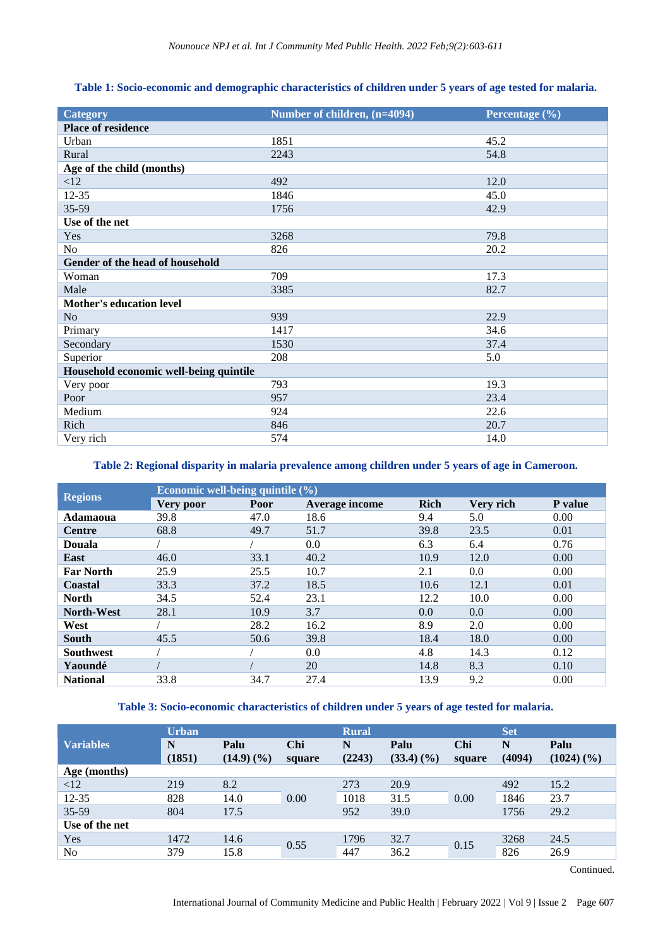| <b>Category</b>                        | Number of children, (n=4094) | Percentage $(\% )$ |  |  |  |  |  |
|----------------------------------------|------------------------------|--------------------|--|--|--|--|--|
| Place of residence                     |                              |                    |  |  |  |  |  |
| Urban                                  | 1851                         | 45.2               |  |  |  |  |  |
| Rural                                  | 2243                         | 54.8               |  |  |  |  |  |
| Age of the child (months)              |                              |                    |  |  |  |  |  |
| <12                                    | 492                          | 12.0               |  |  |  |  |  |
| 12-35                                  | 1846                         | 45.0               |  |  |  |  |  |
| 35-59                                  | 1756                         | 42.9               |  |  |  |  |  |
| Use of the net                         |                              |                    |  |  |  |  |  |
| Yes                                    | 3268                         | 79.8               |  |  |  |  |  |
| N <sub>0</sub>                         | 826                          | 20.2               |  |  |  |  |  |
| Gender of the head of household        |                              |                    |  |  |  |  |  |
| Woman                                  | 709                          | 17.3               |  |  |  |  |  |
| Male                                   | 3385                         | 82.7               |  |  |  |  |  |
| <b>Mother's education level</b>        |                              |                    |  |  |  |  |  |
| N <sub>o</sub>                         | 939                          | 22.9               |  |  |  |  |  |
| Primary                                | 1417                         | 34.6               |  |  |  |  |  |
| Secondary                              | 1530                         | 37.4               |  |  |  |  |  |
| Superior                               | 208                          | 5.0                |  |  |  |  |  |
| Household economic well-being quintile |                              |                    |  |  |  |  |  |
| Very poor                              | 793                          | 19.3               |  |  |  |  |  |
| Poor                                   | 957                          | 23.4               |  |  |  |  |  |
| Medium                                 | 924                          | 22.6               |  |  |  |  |  |
| Rich                                   | 846                          | 20.7               |  |  |  |  |  |
| Very rich                              | 574                          | 14.0               |  |  |  |  |  |

## **Table 1: Socio-economic and demographic characteristics of children under 5 years of age tested for malaria.**

## **Table 2: Regional disparity in malaria prevalence among children under 5 years of age in Cameroon.**

| <b>Regions</b>    | Economic well-being quintile $(\% )$ |      |                       |             |           |                |  |  |  |
|-------------------|--------------------------------------|------|-----------------------|-------------|-----------|----------------|--|--|--|
|                   | Very poor                            | Poor | <b>Average income</b> | <b>Rich</b> | Very rich | <b>P</b> value |  |  |  |
| Adamaoua          | 39.8                                 | 47.0 | 18.6                  | 9.4         | 5.0       | 0.00           |  |  |  |
| <b>Centre</b>     | 68.8                                 | 49.7 | 51.7                  | 39.8        | 23.5      | 0.01           |  |  |  |
| <b>Douala</b>     |                                      |      | 0.0                   | 6.3         | 6.4       | 0.76           |  |  |  |
| East              | 46.0                                 | 33.1 | 40.2                  | 10.9        | 12.0      | 0.00           |  |  |  |
| <b>Far North</b>  | 25.9                                 | 25.5 | 10.7                  | 2.1         | 0.0       | 0.00           |  |  |  |
| Coastal           | 33.3                                 | 37.2 | 18.5                  | 10.6        | 12.1      | 0.01           |  |  |  |
| <b>North</b>      | 34.5                                 | 52.4 | 23.1                  | 12.2        | 10.0      | 0.00           |  |  |  |
| <b>North-West</b> | 28.1                                 | 10.9 | 3.7                   | 0.0         | 0.0       | 0.00           |  |  |  |
| West              |                                      | 28.2 | 16.2                  | 8.9         | 2.0       | 0.00           |  |  |  |
| South             | 45.5                                 | 50.6 | 39.8                  | 18.4        | 18.0      | 0.00           |  |  |  |
| <b>Southwest</b>  |                                      |      | 0.0                   | 4.8         | 14.3      | 0.12           |  |  |  |
| Yaoundé           |                                      |      | 20                    | 14.8        | 8.3       | 0.10           |  |  |  |
| <b>National</b>   | 33.8                                 | 34.7 | 27.4                  | 13.9        | 9.2       | 0.00           |  |  |  |

## **Table 3: Socio-economic characteristics of children under 5 years of age tested for malaria.**

|                  | <b>Urban</b> |                                  |               | <b>Rural</b> |                                  |               | <b>Set</b>  |                                  |
|------------------|--------------|----------------------------------|---------------|--------------|----------------------------------|---------------|-------------|----------------------------------|
| <b>Variables</b> | N<br>(1851)  | Palu<br>$(14.9)$ $(\frac{9}{6})$ | Chi<br>square | N<br>(2243)  | Palu<br>$(33.4)$ $(\frac{9}{6})$ | Chi<br>square | N<br>(4094) | Palu<br>$(1024)$ $(\frac{9}{6})$ |
| Age (months)     |              |                                  |               |              |                                  |               |             |                                  |
| <12              | 219          | 8.2                              |               | 273          | 20.9                             | 0.00          | 492         | 15.2                             |
| $12 - 35$        | 828          | 14.0                             | 0.00          | 1018         | 31.5                             |               | 1846        | 23.7                             |
| $35 - 59$        | 804          | 17.5                             |               | 952          | 39.0                             |               | 1756        | 29.2                             |
| Use of the net   |              |                                  |               |              |                                  |               |             |                                  |
| Yes              | 1472         | 14.6                             | 0.55          | 1796         | 32.7                             | 0.15          | 3268        | 24.5                             |
| No               | 379          | 15.8                             |               | 447          | 36.2                             |               | 826         | 26.9                             |

Continued.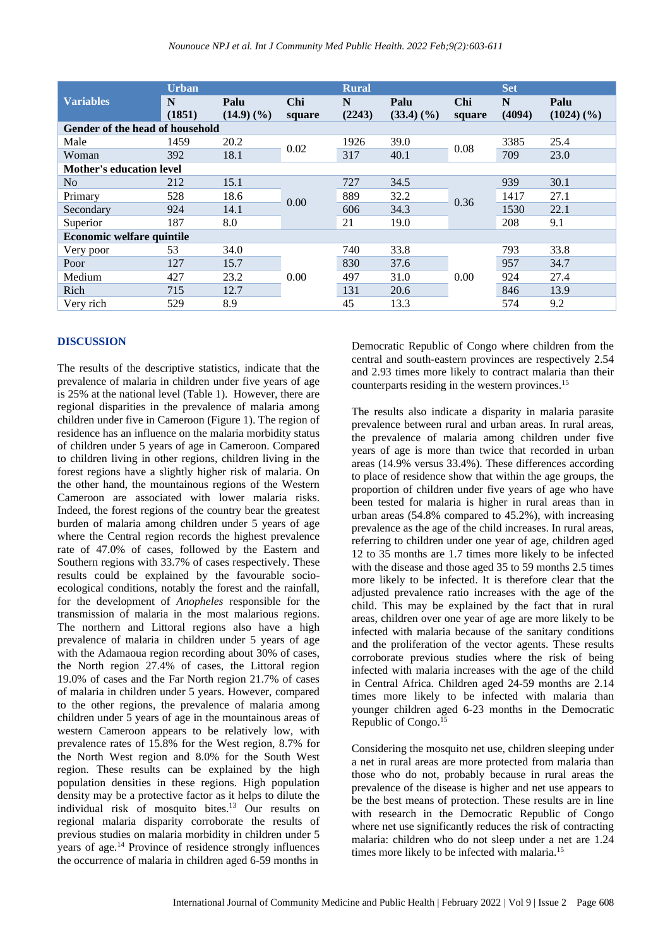|                                        | <b>Urban</b> |                          |        | <b>Rural</b> |               |        | <b>Set</b> |               |  |
|----------------------------------------|--------------|--------------------------|--------|--------------|---------------|--------|------------|---------------|--|
| <b>Variables</b>                       | N            | Palu                     | Chi    | N            | Palu          | Chi    | N          | Palu          |  |
|                                        | (1851)       | $(14.9)$ $(\frac{9}{6})$ | square | (2243)       | $(33.4)$ $(%$ | square | (4094)     | $(1024)$ $(%$ |  |
| <b>Gender of the head of household</b> |              |                          |        |              |               |        |            |               |  |
| Male                                   | 1459         | 20.2                     | 0.02   | 1926         | 39.0          | 0.08   | 3385       | 25.4          |  |
| Woman                                  | 392          | 18.1                     |        | 317          | 40.1          |        | 709        | 23.0          |  |
| <b>Mother's education level</b>        |              |                          |        |              |               |        |            |               |  |
| N <sub>0</sub>                         | 212          | 15.1                     |        | 727          | 34.5          | 0.36   | 939        | 30.1          |  |
| Primary                                | 528          | 18.6                     | 0.00   | 889          | 32.2          |        | 1417       | 27.1          |  |
| Secondary                              | 924          | 14.1                     |        | 606          | 34.3          |        | 1530       | 22.1          |  |
| Superior                               | 187          | 8.0                      |        | 21           | 19.0          |        | 208        | 9.1           |  |
| <b>Economic welfare quintile</b>       |              |                          |        |              |               |        |            |               |  |
| Very poor                              | 53           | 34.0                     |        | 740          | 33.8          | 0.00   | 793        | 33.8          |  |
| Poor                                   | 127          | 15.7                     |        | 830          | 37.6          |        | 957        | 34.7          |  |
| Medium                                 | 427          | 23.2                     | 0.00   | 497          | 31.0          |        | 924        | 27.4          |  |
| Rich                                   | 715          | 12.7                     |        | 131          | 20.6          |        | 846        | 13.9          |  |
| Very rich                              | 529          | 8.9                      |        | 45           | 13.3          |        | 574        | 9.2           |  |

#### **DISCUSSION**

The results of the descriptive statistics, indicate that the prevalence of malaria in children under five years of age is 25% at the national level (Table 1). However, there are regional disparities in the prevalence of malaria among children under five in Cameroon (Figure 1). The region of residence has an influence on the malaria morbidity status of children under 5 years of age in Cameroon. Compared to children living in other regions, children living in the forest regions have a slightly higher risk of malaria. On the other hand, the mountainous regions of the Western Cameroon are associated with lower malaria risks. Indeed, the forest regions of the country bear the greatest burden of malaria among children under 5 years of age where the Central region records the highest prevalence rate of 47.0% of cases, followed by the Eastern and Southern regions with 33.7% of cases respectively. These results could be explained by the favourable socioecological conditions, notably the forest and the rainfall, for the development of *Anopheles* responsible for the transmission of malaria in the most malarious regions. The northern and Littoral regions also have a high prevalence of malaria in children under 5 years of age with the Adamaoua region recording about 30% of cases, the North region 27.4% of cases, the Littoral region 19.0% of cases and the Far North region 21.7% of cases of malaria in children under 5 years. However, compared to the other regions, the prevalence of malaria among children under 5 years of age in the mountainous areas of western Cameroon appears to be relatively low, with prevalence rates of 15.8% for the West region, 8.7% for the North West region and 8.0% for the South West region. These results can be explained by the high population densities in these regions. High population density may be a protective factor as it helps to dilute the individual risk of mosquito bites.<sup>13</sup> Our results on regional malaria disparity corroborate the results of previous studies on malaria morbidity in children under 5 years of age.<sup>14</sup> Province of residence strongly influences the occurrence of malaria in children aged 6-59 months in

Democratic Republic of Congo where children from the central and south-eastern provinces are respectively 2.54 and 2.93 times more likely to contract malaria than their counterparts residing in the western provinces.<sup>15</sup>

The results also indicate a disparity in malaria parasite prevalence between rural and urban areas. In rural areas, the prevalence of malaria among children under five years of age is more than twice that recorded in urban areas (14.9% versus 33.4%). These differences according to place of residence show that within the age groups, the proportion of children under five years of age who have been tested for malaria is higher in rural areas than in urban areas (54.8% compared to 45.2%), with increasing prevalence as the age of the child increases. In rural areas, referring to children under one year of age, children aged 12 to 35 months are 1.7 times more likely to be infected with the disease and those aged 35 to 59 months 2.5 times more likely to be infected. It is therefore clear that the adjusted prevalence ratio increases with the age of the child. This may be explained by the fact that in rural areas, children over one year of age are more likely to be infected with malaria because of the sanitary conditions and the proliferation of the vector agents. These results corroborate previous studies where the risk of being infected with malaria increases with the age of the child in Central Africa. Children aged 24-59 months are 2.14 times more likely to be infected with malaria than younger children aged 6-23 months in the Democratic Republic of Congo.<sup>15</sup>

Considering the mosquito net use, children sleeping under a net in rural areas are more protected from malaria than those who do not, probably because in rural areas the prevalence of the disease is higher and net use appears to be the best means of protection. These results are in line with research in the Democratic Republic of Congo where net use significantly reduces the risk of contracting malaria: children who do not sleep under a net are 1.24 times more likely to be infected with malaria.<sup>15</sup>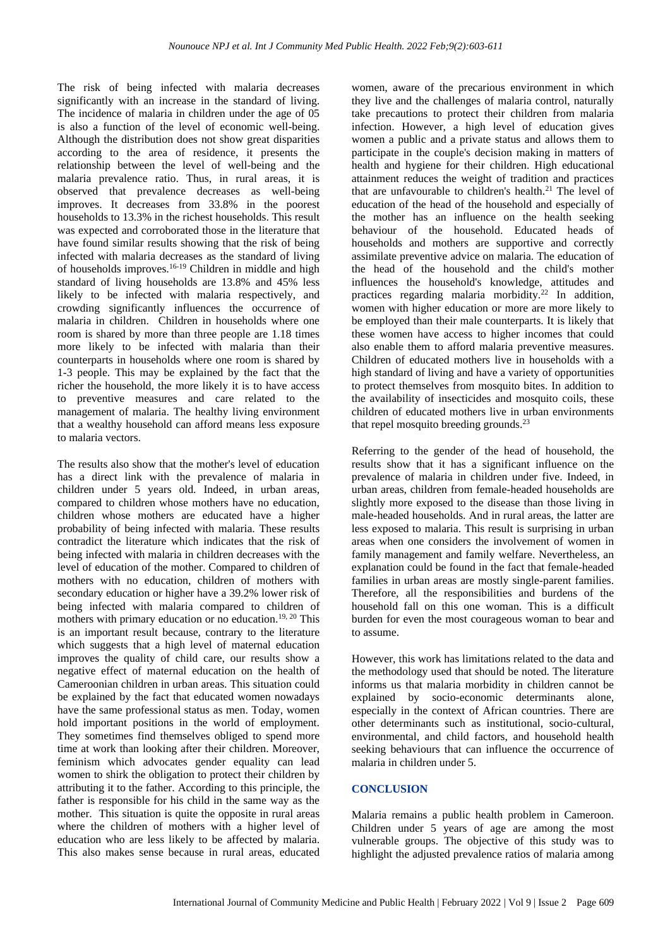The risk of being infected with malaria decreases significantly with an increase in the standard of living. The incidence of malaria in children under the age of 05 is also a function of the level of economic well-being. Although the distribution does not show great disparities according to the area of residence, it presents the relationship between the level of well-being and the malaria prevalence ratio. Thus, in rural areas, it is observed that prevalence decreases as well-being improves. It decreases from 33.8% in the poorest households to 13.3% in the richest households. This result was expected and corroborated those in the literature that have found similar results showing that the risk of being infected with malaria decreases as the standard of living of households improves.<sup>16-19</sup> Children in middle and high standard of living households are 13.8% and 45% less likely to be infected with malaria respectively, and crowding significantly influences the occurrence of malaria in children. Children in households where one room is shared by more than three people are 1.18 times more likely to be infected with malaria than their counterparts in households where one room is shared by 1-3 people. This may be explained by the fact that the richer the household, the more likely it is to have access to preventive measures and care related to the management of malaria. The healthy living environment that a wealthy household can afford means less exposure to malaria vectors.

The results also show that the mother's level of education has a direct link with the prevalence of malaria in children under 5 years old. Indeed, in urban areas, compared to children whose mothers have no education, children whose mothers are educated have a higher probability of being infected with malaria. These results contradict the literature which indicates that the risk of being infected with malaria in children decreases with the level of education of the mother. Compared to children of mothers with no education, children of mothers with secondary education or higher have a 39.2% lower risk of being infected with malaria compared to children of mothers with primary education or no education.<sup>19, 20</sup> This is an important result because, contrary to the literature which suggests that a high level of maternal education improves the quality of child care, our results show a negative effect of maternal education on the health of Cameroonian children in urban areas. This situation could be explained by the fact that educated women nowadays have the same professional status as men. Today, women hold important positions in the world of employment. They sometimes find themselves obliged to spend more time at work than looking after their children. Moreover, feminism which advocates gender equality can lead women to shirk the obligation to protect their children by attributing it to the father. According to this principle, the father is responsible for his child in the same way as the mother. This situation is quite the opposite in rural areas where the children of mothers with a higher level of education who are less likely to be affected by malaria. This also makes sense because in rural areas, educated

women, aware of the precarious environment in which they live and the challenges of malaria control, naturally take precautions to protect their children from malaria infection. However, a high level of education gives women a public and a private status and allows them to participate in the couple's decision making in matters of health and hygiene for their children. High educational attainment reduces the weight of tradition and practices that are unfavourable to children's health.<sup>21</sup> The level of education of the head of the household and especially of the mother has an influence on the health seeking behaviour of the household. Educated heads of households and mothers are supportive and correctly assimilate preventive advice on malaria. The education of the head of the household and the child's mother influences the household's knowledge, attitudes and practices regarding malaria morbidity.<sup>22</sup> In addition, women with higher education or more are more likely to be employed than their male counterparts. It is likely that these women have access to higher incomes that could also enable them to afford malaria preventive measures. Children of educated mothers live in households with a high standard of living and have a variety of opportunities to protect themselves from mosquito bites. In addition to the availability of insecticides and mosquito coils, these children of educated mothers live in urban environments that repel mosquito breeding grounds.<sup>23</sup>

Referring to the gender of the head of household, the results show that it has a significant influence on the prevalence of malaria in children under five. Indeed, in urban areas, children from female-headed households are slightly more exposed to the disease than those living in male-headed households. And in rural areas, the latter are less exposed to malaria. This result is surprising in urban areas when one considers the involvement of women in family management and family welfare. Nevertheless, an explanation could be found in the fact that female-headed families in urban areas are mostly single-parent families. Therefore, all the responsibilities and burdens of the household fall on this one woman. This is a difficult burden for even the most courageous woman to bear and to assume.

However, this work has limitations related to the data and the methodology used that should be noted. The literature informs us that malaria morbidity in children cannot be explained by socio-economic determinants alone, especially in the context of African countries. There are other determinants such as institutional, socio-cultural, environmental, and child factors, and household health seeking behaviours that can influence the occurrence of malaria in children under 5.

#### **CONCLUSION**

Malaria remains a public health problem in Cameroon. Children under 5 years of age are among the most vulnerable groups. The objective of this study was to highlight the adjusted prevalence ratios of malaria among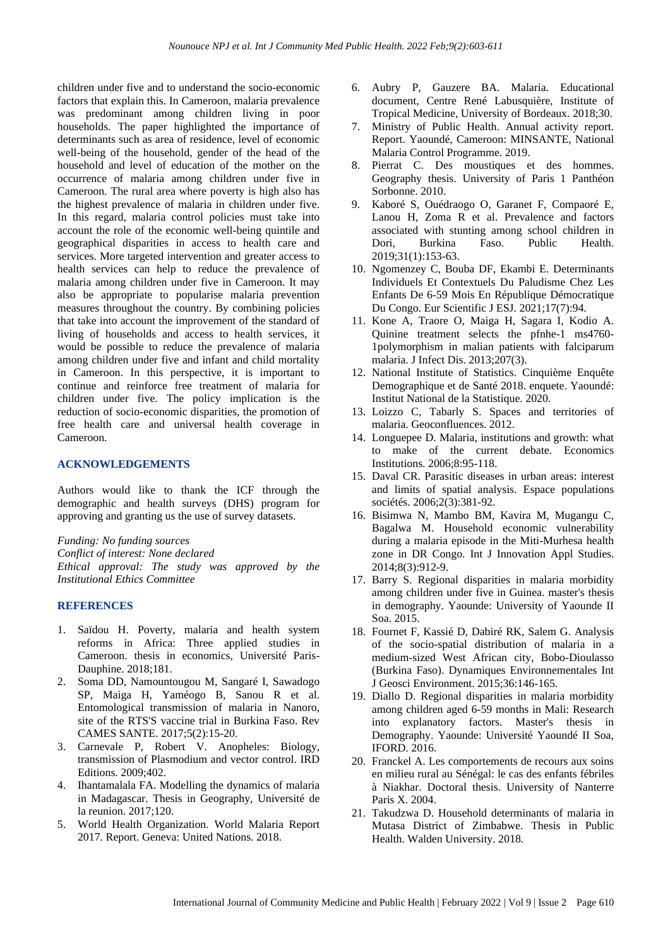children under five and to understand the socio-economic factors that explain this. In Cameroon, malaria prevalence was predominant among children living in poor households. The paper highlighted the importance of determinants such as area of residence, level of economic well-being of the household, gender of the head of the household and level of education of the mother on the occurrence of malaria among children under five in Cameroon. The rural area where poverty is high also has the highest prevalence of malaria in children under five. In this regard, malaria control policies must take into account the role of the economic well-being quintile and geographical disparities in access to health care and services. More targeted intervention and greater access to health services can help to reduce the prevalence of malaria among children under five in Cameroon. It may also be appropriate to popularise malaria prevention measures throughout the country. By combining policies that take into account the improvement of the standard of living of households and access to health services, it would be possible to reduce the prevalence of malaria among children under five and infant and child mortality in Cameroon. In this perspective, it is important to continue and reinforce free treatment of malaria for children under five. The policy implication is the reduction of socio-economic disparities, the promotion of free health care and universal health coverage in Cameroon.

#### **ACKNOWLEDGEMENTS**

Authors would like to thank the ICF through the demographic and health surveys (DHS) program for approving and granting us the use of survey datasets.

*Funding: No funding sources Conflict of interest: None declared Ethical approval: The study was approved by the Institutional Ethics Committee*

#### **REFERENCES**

- 1. Saïdou H. Poverty, malaria and health system reforms in Africa: Three applied studies in Cameroon. thesis in economics, Université Paris-Dauphine. 2018;181.
- 2. Soma DD, Namountougou M, Sangaré I, Sawadogo SP, Maiga H, Yaméogo B, Sanou R et al. Entomological transmission of malaria in Nanoro, site of the RTS'S vaccine trial in Burkina Faso. Rev CAMES SANTE. 2017;5(2):15-20.
- 3. Carnevale P, Robert V. Anopheles: Biology, transmission of Plasmodium and vector control. IRD Editions. 2009;402.
- 4. Ihantamalala FA. Modelling the dynamics of malaria in Madagascar. Thesis in Geography, Université de la reunion. 2017;120.
- 5. World Health Organization. World Malaria Report 2017. Report. Geneva: United Nations. 2018.
- 6. Aubry P, Gauzere BA. Malaria. Educational document, Centre René Labusquière, Institute of Tropical Medicine, University of Bordeaux. 2018;30.
- 7. Ministry of Public Health. Annual activity report. Report. Yaoundé, Cameroon: MINSANTE, National Malaria Control Programme. 2019.
- 8. Pierrat C. Des moustiques et des hommes. Geography thesis. University of Paris 1 Panthéon Sorbonne. 2010.
- 9. Kaboré S, Ouédraogo O, Garanet F, Compaoré E, Lanou H, Zoma R et al. Prevalence and factors associated with stunting among school children in Dori, Burkina Faso. Public Health. 2019;31(1):153-63.
- 10. Ngomenzey C, Bouba DF, Ekambi E. Determinants Individuels Et Contextuels Du Paludisme Chez Les Enfants De 6-59 Mois En République Démocratique Du Congo. Eur Scientific J ESJ. 2021;17(7):94.
- 11. Kone A, Traore O, Maiga H, Sagara I, Kodio A. Quinine treatment selects the pfnhe-1 ms4760- 1polymorphism in malian patients with falciparum malaria. J Infect Dis. 2013;207(3).
- 12. National Institute of Statistics. Cinquième Enquête Demographique et de Santé 2018. enquete. Yaoundé: Institut National de la Statistique. 2020.
- 13. Loizzo C, Tabarly S. Spaces and territories of malaria. Geoconfluences. 2012.
- 14. Longuepee D. Malaria, institutions and growth: what to make of the current debate. Economics Institutions. 2006;8:95-118.
- 15. Daval CR. Parasitic diseases in urban areas: interest and limits of spatial analysis. Espace populations sociétés. 2006;2(3):381-92.
- 16. Bisimwa N, Mambo BM, Kavira M, Mugangu C, Bagalwa M. Household economic vulnerability during a malaria episode in the Miti-Murhesa health zone in DR Congo. Int J Innovation Appl Studies. 2014;8(3):912-9.
- 17. Barry S. Regional disparities in malaria morbidity among children under five in Guinea. master's thesis in demography. Yaounde: University of Yaounde II Soa. 2015.
- 18. Fournet F, Kassié D, Dabiré RK, Salem G. Analysis of the socio-spatial distribution of malaria in a medium-sized West African city, Bobo-Dioulasso (Burkina Faso). Dynamiques Environnementales Int J Geosci Environment. 2015;36:146-165.
- 19. Diallo D. Regional disparities in malaria morbidity among children aged 6-59 months in Mali: Research into explanatory factors. Master's thesis in Demography. Yaounde: Université Yaoundé II Soa, IFORD. 2016.
- 20. Franckel A. Les comportements de recours aux soins en milieu rural au Sénégal: le cas des enfants fébriles à Niakhar. Doctoral thesis. University of Nanterre Paris X. 2004.
- 21. Takudzwa D. Household determinants of malaria in Mutasa District of Zimbabwe. Thesis in Public Health. Walden University. 2018.